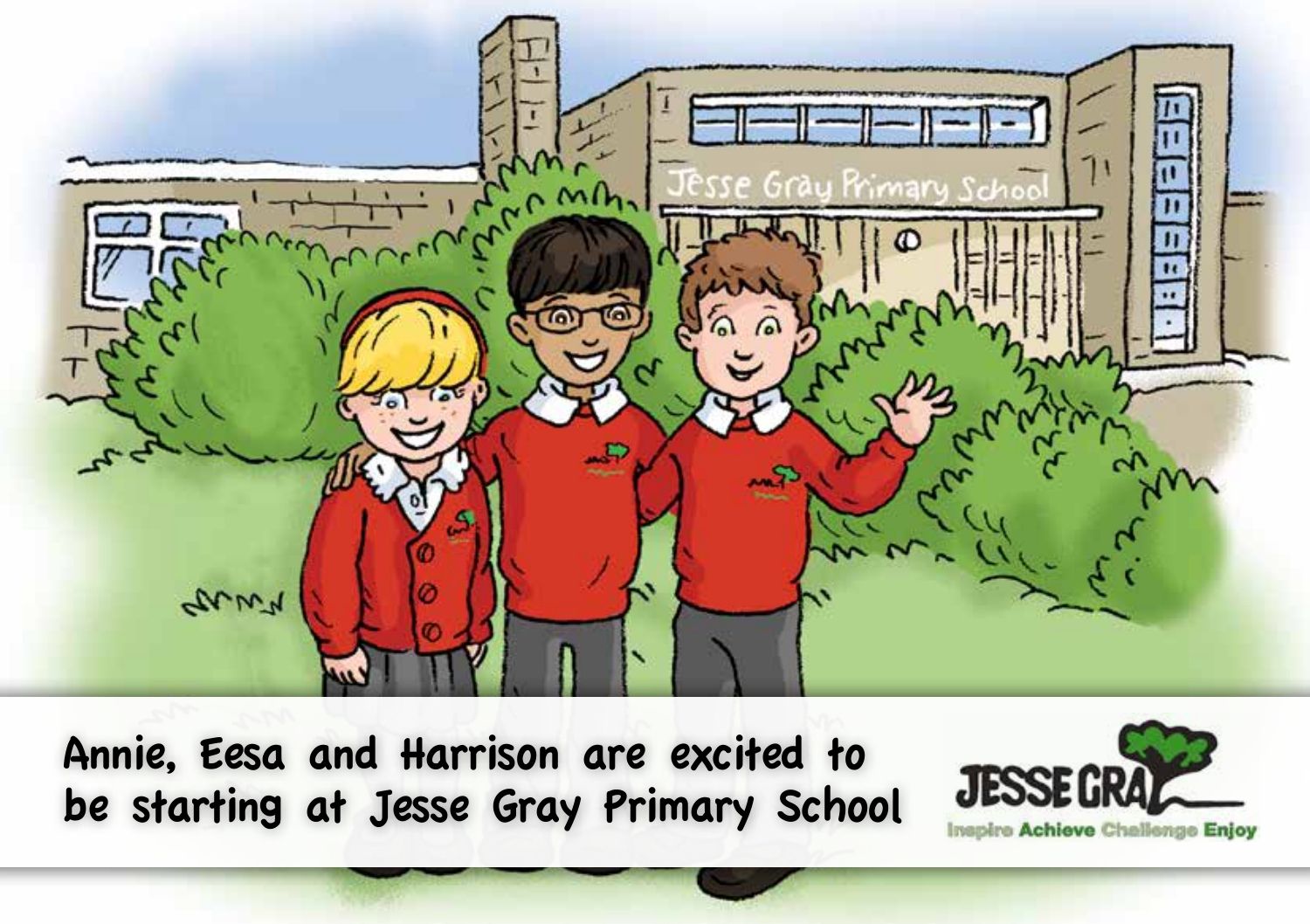

Annie, Eesa and Harrison are excited to be starting at Jesse Gray Primary School

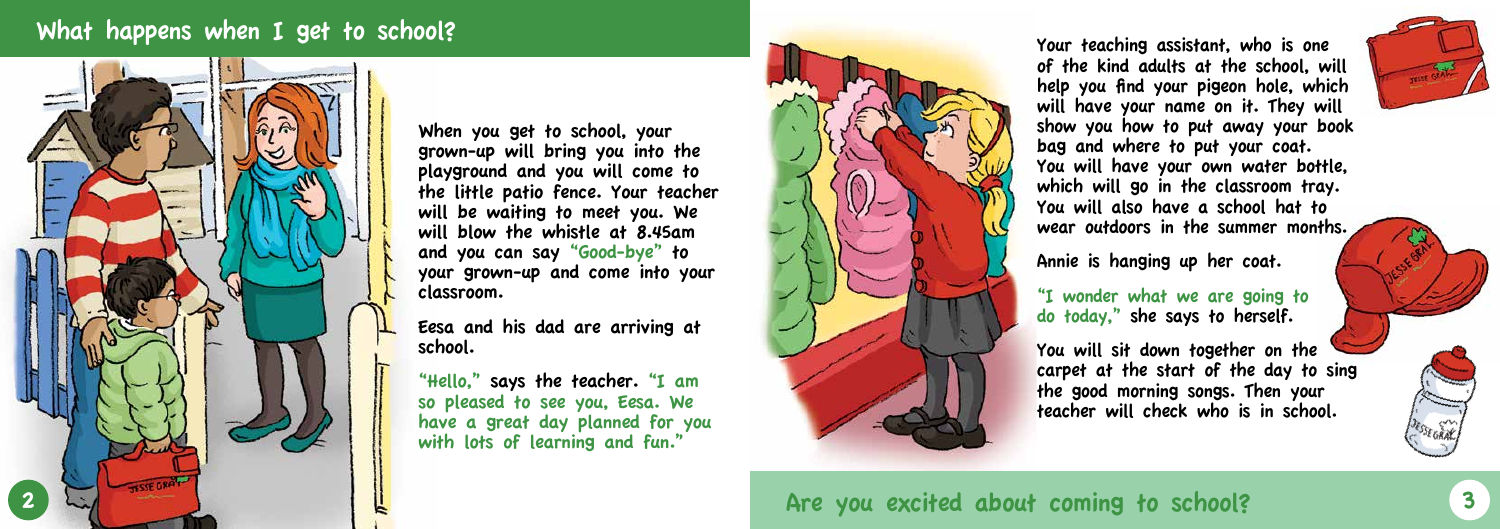### What happens when I get to school?



When you get to school, your grown-up will bring you into the playground and you will come to the little patio fence. Your teacher will be waiting to meet you. We will blow the whistle at 8.45am and you can say "Good-bye" to your grown-up and come into your classroom.

Eesa and his dad are arriving at school.

"Hello," says the teacher. "I am so pleased to see you, Eesa. We have a great day planned for you with lots of learning and fun."



Your teaching assistant, who is one of the kind adults at the school, will help you find your pigeon hole, which will have your name on it. They will show you how to put away your book bag and where to put your coat. You will have your own water bottle, which will go in the classroom tray. You will also have a school hat to wear outdoors in the summer months.

Annie is hanging up her coat.

"I wonder what we are going to do today," she says to herself.

You will sit down together on the carpet at the start of the day to sing the good morning songs. Then your teacher will check who is in school.



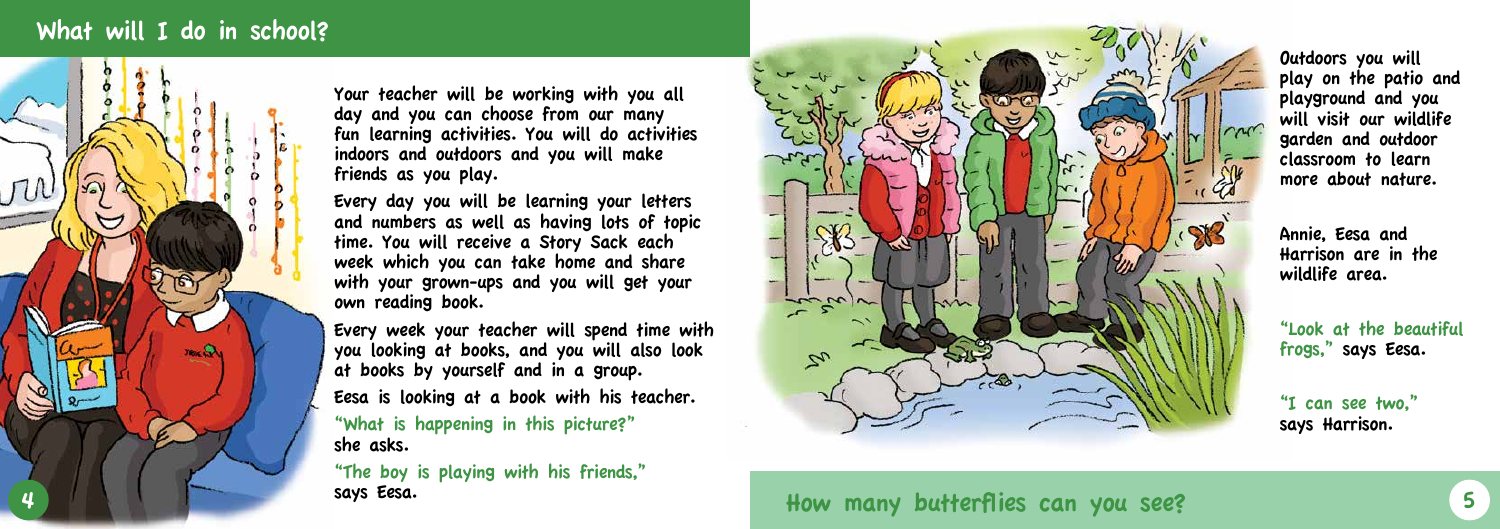# What will I do in school?



Your teacher will be working with you all day and you can choose from our many fun learning activities. You will do activities indoors and outdoors and you will make friends as you play.

Every day you will be learning your letters and numbers as well as having lots of topic time. You will receive a Story Sack each week which you can take home and share with your grown-ups and you will get your own reading book.

Every week your teacher will spend time with you looking at books, and you will also look at books by yourself and in a group.

Eesa is looking at a book with his teacher.

"What is happening in this picture?" she asks.

"The boy is playing with his friends," says Eesa.



How many butterflies can you see? The state of the state of the state of the state of the state of the state o

Outdoors you will play on the patio and playground and you will visit our wildlife garden and outdoor classroom to learn more about nature.

Annie, Eesa and Harrison are in the wildlife area.

"Look at the beautiful frogs," says Eesa.

"I can see two," says Harrison.



913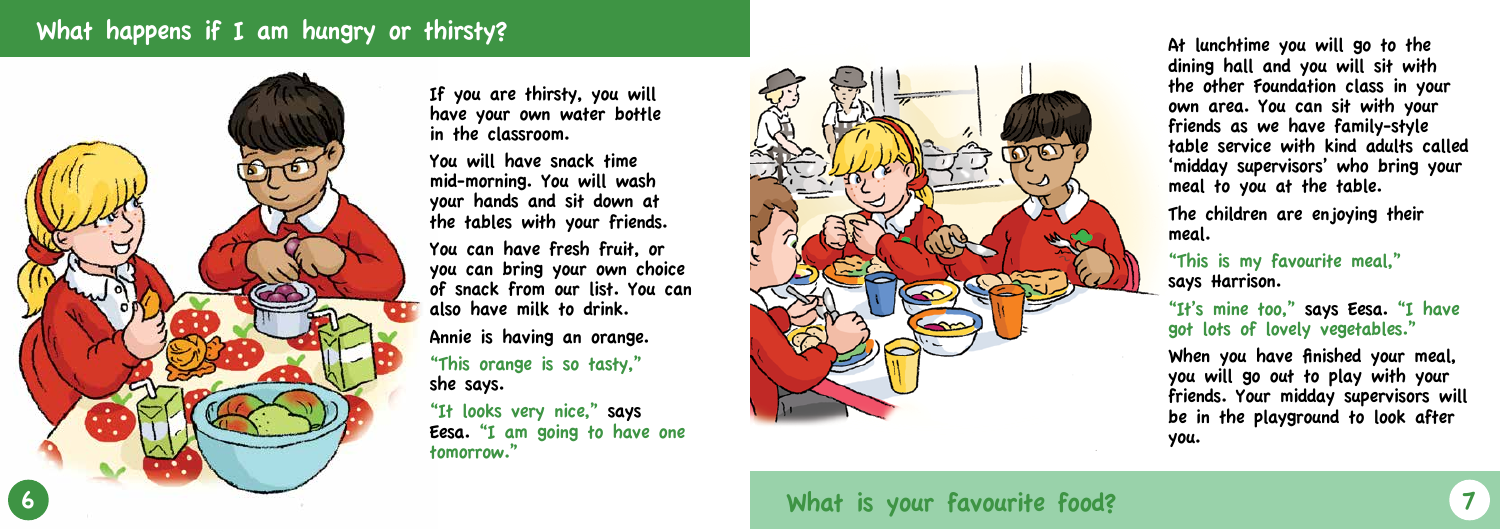# What happens if I am hungry or thirsty?



If you are thirsty, you will have your own water bottle in the classroom.

You will have snack time mid-morning. You will wash your hands and sit down at the tables with your friends.

You can have fresh fruit, or you can bring your own choice of snack from our list. You can also have milk to drink.

Annie is having an orange.

"This orange is so tasty," she says.

"It looks very nice," says Eesa. "I am going to have one tomorrow."



What is your favourite food?

At lunchtime you will go to the dining hall and you will sit with the other Foundation class in your own area. You can sit with your friends as we have family-style table service with kind adults called 'midday supervisors' who bring your meal to you at the table.

The children are enjoying their meal.



"This is my favourite meal," says Harrison.

"It's mine too," says Eesa. "I have got lots of lovely vegetables."

When you have finished your meal, you will go out to play with your friends. Your midday supervisors will be in the playground to look after you.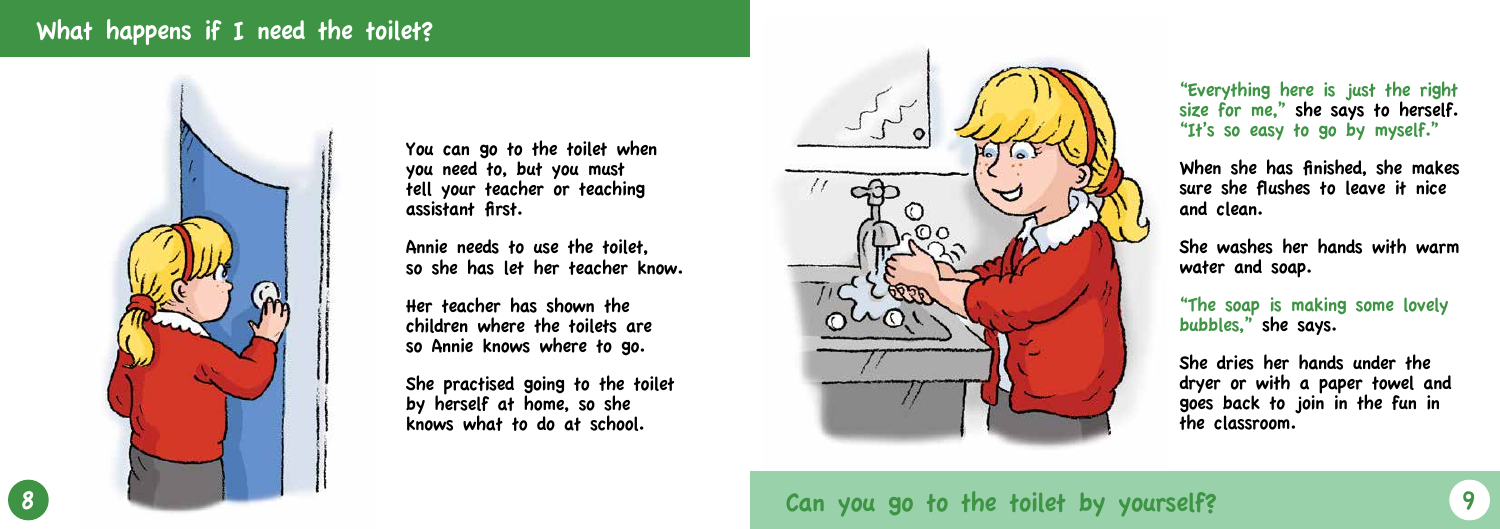### What happens if I need the toilet?



8 Can you go to the toilet by yourself? 9

You can go to the toilet when you need to, but you must tell your teacher or teaching assistant first.

Annie needs to use the toilet, so she has let her teacher know.

Her teacher has shown the children where the toilets are so Annie knows where to go.

She practised going to the toilet by herself at home, so she knows what to do at school.



#### "Everything here is just the right size for me," she says to herself. "It's so easy to go by myself."

When she has finished, she makes sure she flushes to leave it nice and clean.

She washes her hands with warm water and soap.

"The soap is making some lovely bubbles," she says.

She dries her hands under the dryer or with a paper towel and goes back to join in the fun in the classroom.

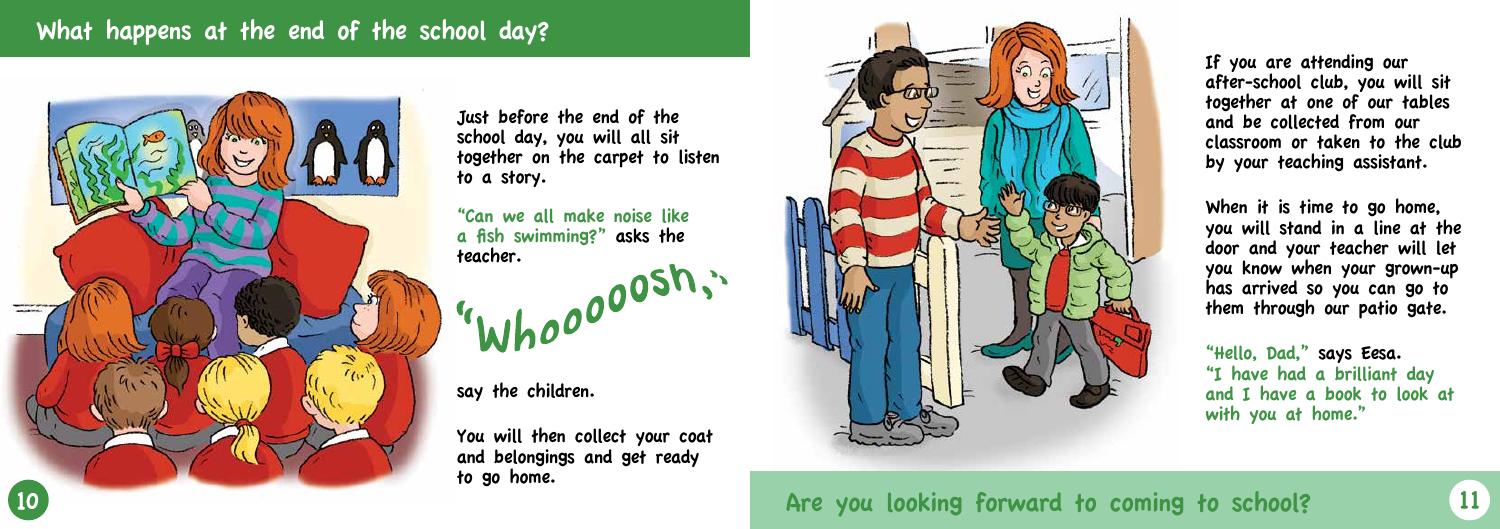# What happens at the end of the school day?



"Can we all make noise like a fish swimming?" asks the a "whooooosh."

Just before the end of the school day, you will all sit together on the carpet to listen to a story.

say the children.

You will then collect your coat and belongings and get ready to go home.



If you are attending our after-school club, you will sit together at one of our tables and be collected from our classroom or taken to the club by your teaching assistant.

When it is time to go home, you will stand in a line at the door and your teacher will let you know when your grown-up has arrived so you can go to them through our patio gate.

"Hello, Dad," says Eesa. "I have had a brilliant day and I have a book to look at with you at home."